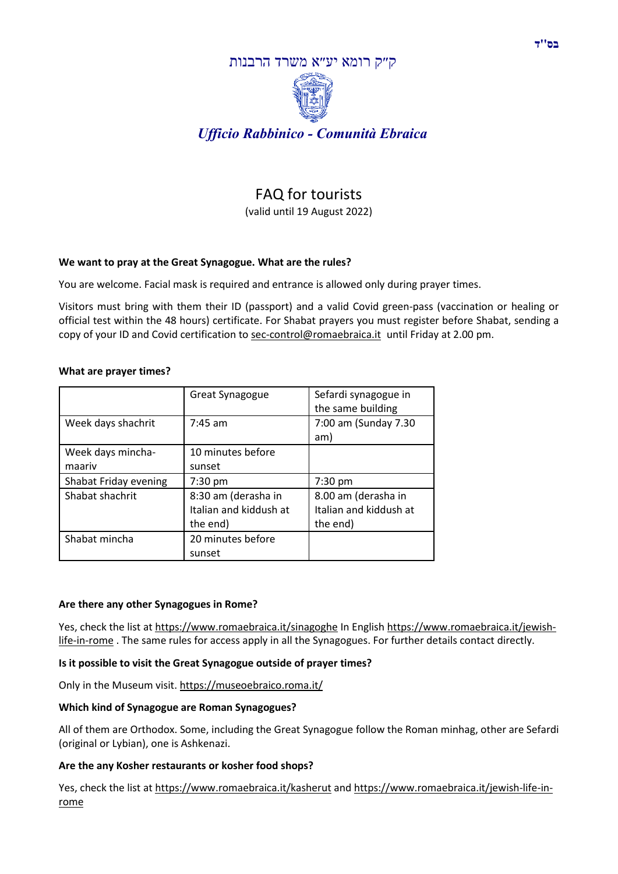

# FAQ for tourists

(valid until 19 August 2022)

# **We want to pray at the Great Synagogue. What are the rules?**

You are welcome. Facial mask is required and entrance is allowed only during prayer times.

Visitors must bring with them their ID (passport) and a valid Covid green-pass (vaccination or healing or official test within the 48 hours) certificate. For Shabat prayers you must register before Shabat, sending a copy of your ID and Covid certification to [sec-control@romaebraica.it](mailto:sec-control@romaebraica.it) until Friday at 2.00 pm.

#### **What are prayer times?**

|                             | Great Synagogue                                           | Sefardi synagogue in<br>the same building                 |
|-----------------------------|-----------------------------------------------------------|-----------------------------------------------------------|
| Week days shachrit          | $7:45$ am                                                 | 7:00 am (Sunday 7.30<br>am)                               |
| Week days mincha-<br>maariv | 10 minutes before<br>sunset                               |                                                           |
| Shabat Friday evening       | 7:30 pm                                                   | 7:30 pm                                                   |
| Shabat shachrit             | 8:30 am (derasha in<br>Italian and kiddush at<br>the end) | 8.00 am (derasha in<br>Italian and kiddush at<br>the end) |
| Shabat mincha               | 20 minutes before<br>sunset                               |                                                           |

#### **Are there any other Synagogues in Rome?**

Yes, check the list at <https://www.romaebraica.it/sinagoghe> In English [https://www.romaebraica.it/jewish](https://www.romaebraica.it/jewish-life-in-rome)[life-in-rome](https://www.romaebraica.it/jewish-life-in-rome). The same rules for access apply in all the Synagogues. For further details contact directly.

#### **Is it possible to visit the Great Synagogue outside of prayer times?**

Only in the Museum visit. <https://museoebraico.roma.it/>

#### **Which kind of Synagogue are Roman Synagogues?**

All of them are Orthodox. Some, including the Great Synagogue follow the Roman minhag, other are Sefardi (original or Lybian), one is Ashkenazi.

#### **Are the any Kosher restaurants or kosher food shops?**

Yes, check the list at <https://www.romaebraica.it/kasherut> and [https://www.romaebraica.it/jewish-life-in](https://www.romaebraica.it/jewish-life-in-rome)[rome](https://www.romaebraica.it/jewish-life-in-rome)